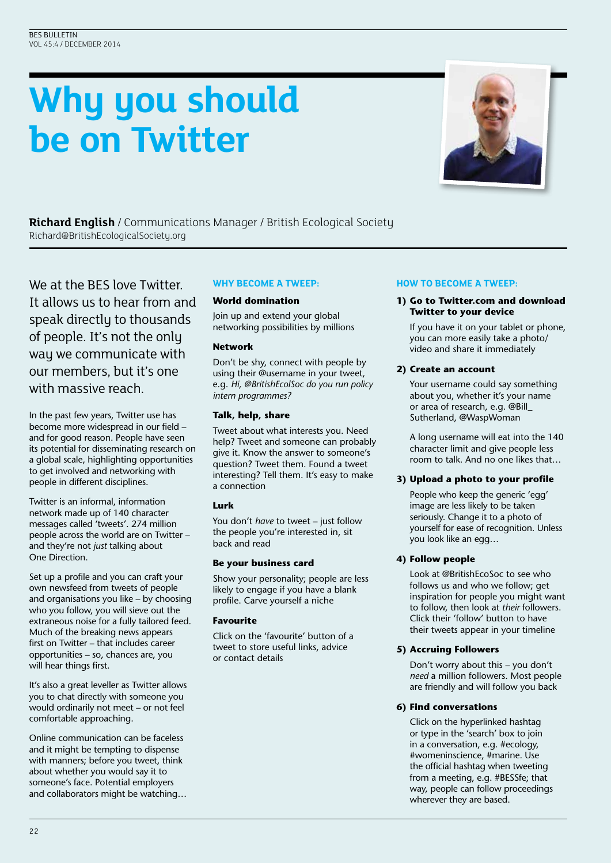# **Why you should be on Twitter**



**Richard English** / Communications Manager / British Ecological Society Richard@BritishEcologicalSociety.org

We at the BES love Twitter. It allows us to hear from and speak directly to thousands of people. It's not the only way we communicate with our members, but it's one with massive reach.

In the past few years, Twitter use has become more widespread in our field – and for good reason. People have seen its potential for disseminating research on a global scale, highlighting opportunities to get involved and networking with people in different disciplines.

Twitter is an informal, information network made up of 140 character messages called 'tweets'. 274 million people across the world are on Twitter – and they're not *just* talking about One Direction.

Set up a profile and you can craft your own newsfeed from tweets of people and organisations you like – by choosing who you follow, you will sieve out the extraneous noise for a fully tailored feed. Much of the breaking news appears first on Twitter – that includes career opportunities – so, chances are, you will hear things first.

It's also a great leveller as Twitter allows you to chat directly with someone you would ordinarily not meet – or not feel comfortable approaching.

Online communication can be faceless and it might be tempting to dispense with manners; before you tweet, think about whether you would say it to someone's face. Potential employers and collaborators might be watching…

# **WHY BECOME A TWEEP:**

## **World domination**

Join up and extend your global networking possibilities by millions

## **Network**

Don't be shy, connect with people by using their @username in your tweet, e.g. *Hi, @BritishEcolSoc do you run policy intern programmes?*

## **Talk, help, share**

Tweet about what interests you. Need help? Tweet and someone can probably give it. Know the answer to someone's question? Tweet them. Found a tweet interesting? Tell them. It's easy to make a connection

## **Lurk**

You don't *have* to tweet – just follow the people you're interested in, sit back and read

## **Be your business card**

Show your personality; people are less likely to engage if you have a blank profile. Carve yourself a niche

# **Favourite**

Click on the 'favourite' button of a tweet to store useful links, advice or contact details

## **HOW TO BECOME A TWEEP:**

## **1) Go to Twitter.com and download Twitter to your device**

 If you have it on your tablet or phone, you can more easily take a photo/ video and share it immediately

## **2) Create an account**

 Your username could say something about you, whether it's your name or area of research, e.g. @Bill\_ Sutherland, @WaspWoman

 A long username will eat into the 140 character limit and give people less room to talk. And no one likes that…

# **3) Upload a photo to your profile**

 People who keep the generic 'egg' image are less likely to be taken seriously. Change it to a photo of yourself for ease of recognition. Unless you look like an egg…

## **4) Follow people**

 Look at @BritishEcoSoc to see who follows us and who we follow; get inspiration for people you might want to follow, then look at *their* followers. Click their 'follow' button to have their tweets appear in your timeline

# **5) Accruing Followers**

 Don't worry about this – you don't *need* a million followers. Most people are friendly and will follow you back

## **6) Find conversations**

 Click on the hyperlinked hashtag or type in the 'search' box to join in a conversation, e.g. #ecology, #womeninscience, #marine. Use the official hashtag when tweeting from a meeting, e.g. #BESSfe; that way, people can follow proceedings wherever they are based.